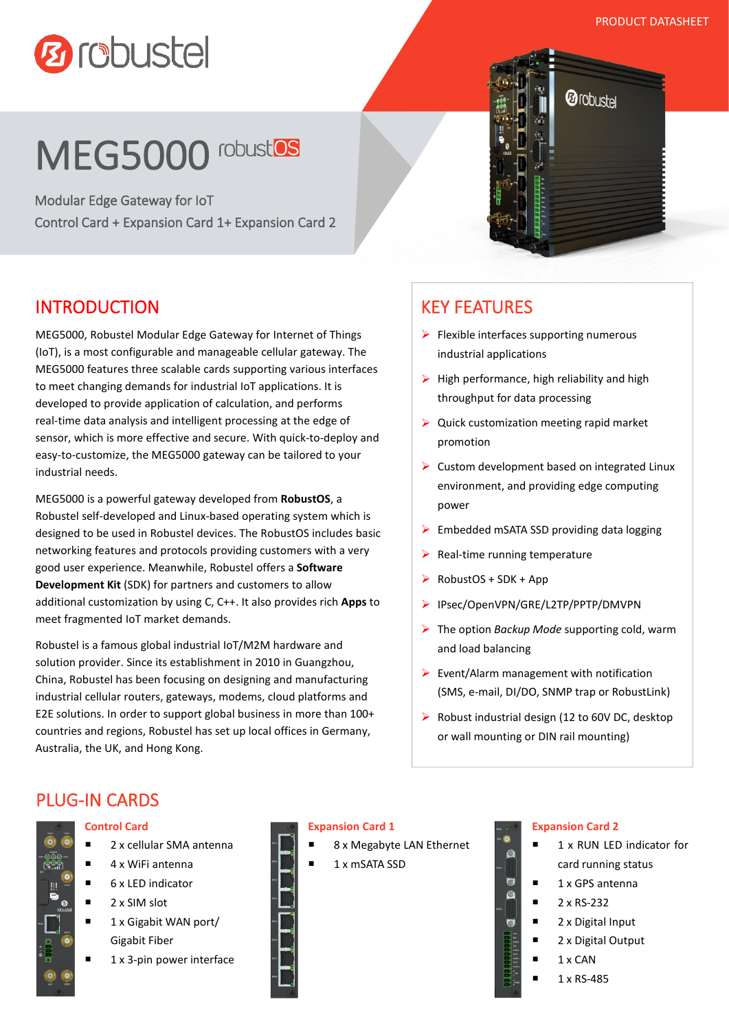*@* robustel

# **Ø** robustel

## MEG5000 robustOS

Modular Edge Gateway for IoT Control Card + Expansion Card 1+ Expansion Card 2

## INTRODUCTION

MEG5000, Robustel Modular Edge Gateway for Internet of Things (IoT), is a most configurable and manageable cellular gateway. The MEG5000 features three scalable cards supporting various interfaces to meet changing demands for industrial IoT applications. It is developed to provide application of calculation, and performs real-time data analysis and intelligent processing at the edge of sensor, which is more effective and secure. With quick-to-deploy and easy-to-customize, the MEG5000 gateway can be tailored to your industrial needs.

MEG5000 is a powerful gateway developed from **RobustOS**, a Robustel self-developed and Linux-based operating system which is designed to be used in Robustel devices. The RobustOS includes basic networking features and protocols providing customers with a very good user experience. Meanwhile, Robustel offers a **Software Development Kit** (SDK) for partners and customers to allow additional customization by using C, C++. It also provides rich **Apps** to meet fragmented IoT market demands.

Robustel is a famous global industrial IoT/M2M hardware and solution provider. Since its establishment in 2010 in Guangzhou, China, Robustel has been focusing on designing and manufacturing industrial cellular routers, gateways, modems, cloud platforms and E2E solutions. In order to support global business in more than 100+ countries and regions, Robustel has set up local offices in Germany, Australia, the UK, and Hong Kong.

## KEY FEATURES

- $\triangleright$  Flexible interfaces supporting numerous industrial applications
- $\triangleright$  High performance, high reliability and high throughput for data processing
- $\triangleright$  Quick customization meeting rapid market promotion
- $\triangleright$  Custom development based on integrated Linux environment, and providing edge computing power
- $\triangleright$  Embedded mSATA SSD providing data logging
- $\triangleright$  Real-time running temperature
- RobustOS + SDK + App
- ▶ IPsec/OpenVPN/GRE/L2TP/PPTP/DMVPN
- The option *Backup Mode* supporting cold, warm and load balancing
- $\triangleright$  Event/Alarm management with notification (SMS, e-mail, DI/DO, SNMP trap or RobustLink)
- $\triangleright$  Robust industrial design (12 to 60V DC, desktop or wall mounting or DIN rail mounting)

### PLUG-IN CARDS



#### **Control Card**

- 2 x cellular SMA antenna
- $\blacksquare$  4 x WiFi antenna
- 6 x LED indicator
- 2 x SIM slot
- 1 x Gigabit WAN port/ Gigabit Fiber
- 1 x 3-pin power interface

#### **Expansion Card 1**

- 8 x Megabyte LAN Ethernet
- 1 x mSATA SSD

#### **Expansion Card 2**

- 1 x RUN LED indicator for card running status
- $\blacksquare$  1 x GPS antenna
- $\blacksquare$  2 x RS-232

O

 $\overline{\bullet}$ 

- 2 x Digital Input
- 2 x Digital Output
	- $1 \times$  CAN
	- 1 x RS-485